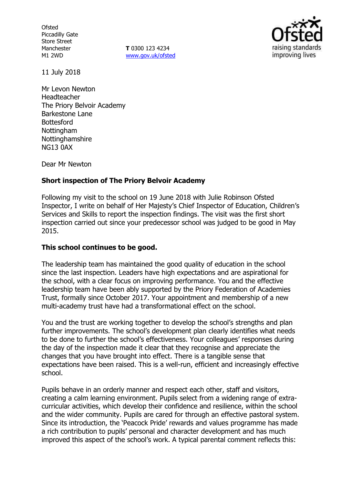**Ofsted** Piccadilly Gate Store Street Manchester M1 2WD

**T** 0300 123 4234 www.gov.uk/ofsted



11 July 2018

Mr Levon Newton Headteacher The Priory Belvoir Academy Barkestone Lane **Bottesford Nottingham** Nottinghamshire NG13 0AX

Dear Mr Newton

## **Short inspection of The Priory Belvoir Academy**

Following my visit to the school on 19 June 2018 with Julie Robinson Ofsted Inspector, I write on behalf of Her Majesty's Chief Inspector of Education, Children's Services and Skills to report the inspection findings. The visit was the first short inspection carried out since your predecessor school was judged to be good in May 2015.

## **This school continues to be good.**

The leadership team has maintained the good quality of education in the school since the last inspection. Leaders have high expectations and are aspirational for the school, with a clear focus on improving performance. You and the effective leadership team have been ably supported by the Priory Federation of Academies Trust, formally since October 2017. Your appointment and membership of a new multi-academy trust have had a transformational effect on the school.

You and the trust are working together to develop the school's strengths and plan further improvements. The school's development plan clearly identifies what needs to be done to further the school's effectiveness. Your colleagues' responses during the day of the inspection made it clear that they recognise and appreciate the changes that you have brought into effect. There is a tangible sense that expectations have been raised. This is a well-run, efficient and increasingly effective school.

Pupils behave in an orderly manner and respect each other, staff and visitors, creating a calm learning environment. Pupils select from a widening range of extracurricular activities, which develop their confidence and resilience, within the school and the wider community. Pupils are cared for through an effective pastoral system. Since its introduction, the 'Peacock Pride' rewards and values programme has made a rich contribution to pupils' personal and character development and has much improved this aspect of the school's work. A typical parental comment reflects this: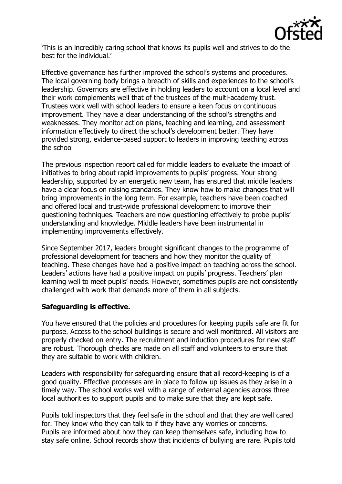

'This is an incredibly caring school that knows its pupils well and strives to do the best for the individual.'

Effective governance has further improved the school's systems and procedures. The local governing body brings a breadth of skills and experiences to the school's leadership. Governors are effective in holding leaders to account on a local level and their work complements well that of the trustees of the multi-academy trust. Trustees work well with school leaders to ensure a keen focus on continuous improvement. They have a clear understanding of the school's strengths and weaknesses. They monitor action plans, teaching and learning, and assessment information effectively to direct the school's development better. They have provided strong, evidence-based support to leaders in improving teaching across the school

The previous inspection report called for middle leaders to evaluate the impact of initiatives to bring about rapid improvements to pupils' progress. Your strong leadership, supported by an energetic new team, has ensured that middle leaders have a clear focus on raising standards. They know how to make changes that will bring improvements in the long term. For example, teachers have been coached and offered local and trust-wide professional development to improve their questioning techniques. Teachers are now questioning effectively to probe pupils' understanding and knowledge. Middle leaders have been instrumental in implementing improvements effectively.

Since September 2017, leaders brought significant changes to the programme of professional development for teachers and how they monitor the quality of teaching. These changes have had a positive impact on teaching across the school. Leaders' actions have had a positive impact on pupils' progress. Teachers' plan learning well to meet pupils' needs. However, sometimes pupils are not consistently challenged with work that demands more of them in all subjects.

# **Safeguarding is effective.**

You have ensured that the policies and procedures for keeping pupils safe are fit for purpose. Access to the school buildings is secure and well monitored. All visitors are properly checked on entry. The recruitment and induction procedures for new staff are robust. Thorough checks are made on all staff and volunteers to ensure that they are suitable to work with children.

Leaders with responsibility for safeguarding ensure that all record-keeping is of a good quality. Effective processes are in place to follow up issues as they arise in a timely way. The school works well with a range of external agencies across three local authorities to support pupils and to make sure that they are kept safe.

Pupils told inspectors that they feel safe in the school and that they are well cared for. They know who they can talk to if they have any worries or concerns. Pupils are informed about how they can keep themselves safe, including how to stay safe online. School records show that incidents of bullying are rare. Pupils told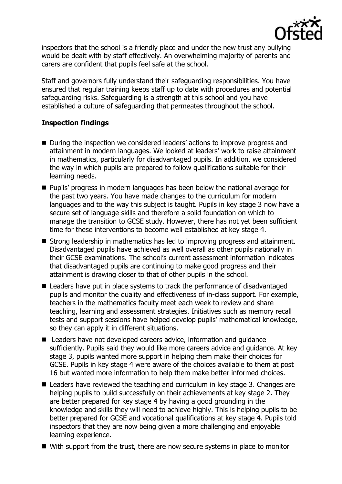

inspectors that the school is a friendly place and under the new trust any bullying would be dealt with by staff effectively. An overwhelming majority of parents and carers are confident that pupils feel safe at the school.

Staff and governors fully understand their safeguarding responsibilities. You have ensured that regular training keeps staff up to date with procedures and potential safeguarding risks. Safeguarding is a strength at this school and you have established a culture of safeguarding that permeates throughout the school.

## **Inspection findings**

- During the inspection we considered leaders' actions to improve progress and attainment in modern languages. We looked at leaders' work to raise attainment in mathematics, particularly for disadvantaged pupils. In addition, we considered the way in which pupils are prepared to follow qualifications suitable for their learning needs.
- **Pupils' progress in modern languages has been below the national average for** the past two years. You have made changes to the curriculum for modern languages and to the way this subject is taught. Pupils in key stage 3 now have a secure set of language skills and therefore a solid foundation on which to manage the transition to GCSE study. However, there has not yet been sufficient time for these interventions to become well established at key stage 4.
- Strong leadership in mathematics has led to improving progress and attainment. Disadvantaged pupils have achieved as well overall as other pupils nationally in their GCSE examinations. The school's current assessment information indicates that disadvantaged pupils are continuing to make good progress and their attainment is drawing closer to that of other pupils in the school.
- Leaders have put in place systems to track the performance of disadvantaged pupils and monitor the quality and effectiveness of in-class support. For example, teachers in the mathematics faculty meet each week to review and share teaching, learning and assessment strategies. Initiatives such as memory recall tests and support sessions have helped develop pupils' mathematical knowledge, so they can apply it in different situations.
- Leaders have not developed careers advice, information and quidance sufficiently. Pupils said they would like more careers advice and guidance. At key stage 3, pupils wanted more support in helping them make their choices for GCSE. Pupils in key stage 4 were aware of the choices available to them at post 16 but wanted more information to help them make better informed choices.
- Leaders have reviewed the teaching and curriculum in key stage 3. Changes are helping pupils to build successfully on their achievements at key stage 2. They are better prepared for key stage 4 by having a good grounding in the knowledge and skills they will need to achieve highly. This is helping pupils to be better prepared for GCSE and vocational qualifications at key stage 4. Pupils told inspectors that they are now being given a more challenging and enjoyable learning experience.
- With support from the trust, there are now secure systems in place to monitor